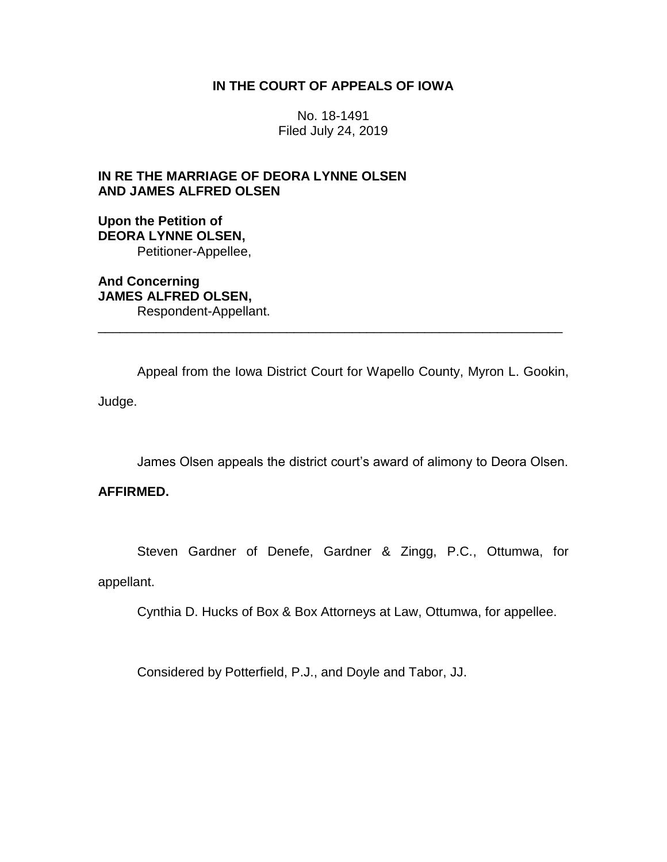# **IN THE COURT OF APPEALS OF IOWA**

No. 18-1491 Filed July 24, 2019

# **IN RE THE MARRIAGE OF DEORA LYNNE OLSEN AND JAMES ALFRED OLSEN**

# **Upon the Petition of DEORA LYNNE OLSEN,** Petitioner-Appellee,

**And Concerning JAMES ALFRED OLSEN,** Respondent-Appellant.

Appeal from the Iowa District Court for Wapello County, Myron L. Gookin,

\_\_\_\_\_\_\_\_\_\_\_\_\_\_\_\_\_\_\_\_\_\_\_\_\_\_\_\_\_\_\_\_\_\_\_\_\_\_\_\_\_\_\_\_\_\_\_\_\_\_\_\_\_\_\_\_\_\_\_\_\_\_\_\_

Judge.

James Olsen appeals the district court's award of alimony to Deora Olsen.

# **AFFIRMED.**

Steven Gardner of Denefe, Gardner & Zingg, P.C., Ottumwa, for

appellant.

Cynthia D. Hucks of Box & Box Attorneys at Law, Ottumwa, for appellee.

Considered by Potterfield, P.J., and Doyle and Tabor, JJ.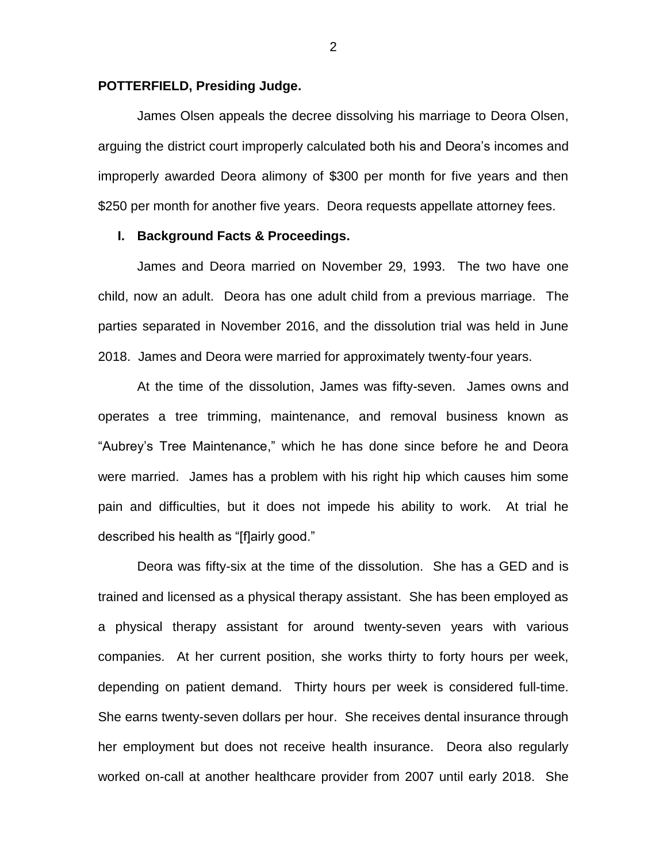## **POTTERFIELD, Presiding Judge.**

James Olsen appeals the decree dissolving his marriage to Deora Olsen, arguing the district court improperly calculated both his and Deora's incomes and improperly awarded Deora alimony of \$300 per month for five years and then \$250 per month for another five years. Deora requests appellate attorney fees.

## **I. Background Facts & Proceedings.**

James and Deora married on November 29, 1993. The two have one child, now an adult. Deora has one adult child from a previous marriage. The parties separated in November 2016, and the dissolution trial was held in June 2018. James and Deora were married for approximately twenty-four years.

At the time of the dissolution, James was fifty-seven. James owns and operates a tree trimming, maintenance, and removal business known as "Aubrey's Tree Maintenance," which he has done since before he and Deora were married. James has a problem with his right hip which causes him some pain and difficulties, but it does not impede his ability to work. At trial he described his health as "[f]airly good."

Deora was fifty-six at the time of the dissolution. She has a GED and is trained and licensed as a physical therapy assistant. She has been employed as a physical therapy assistant for around twenty-seven years with various companies. At her current position, she works thirty to forty hours per week, depending on patient demand. Thirty hours per week is considered full-time. She earns twenty-seven dollars per hour. She receives dental insurance through her employment but does not receive health insurance. Deora also regularly worked on-call at another healthcare provider from 2007 until early 2018. She

2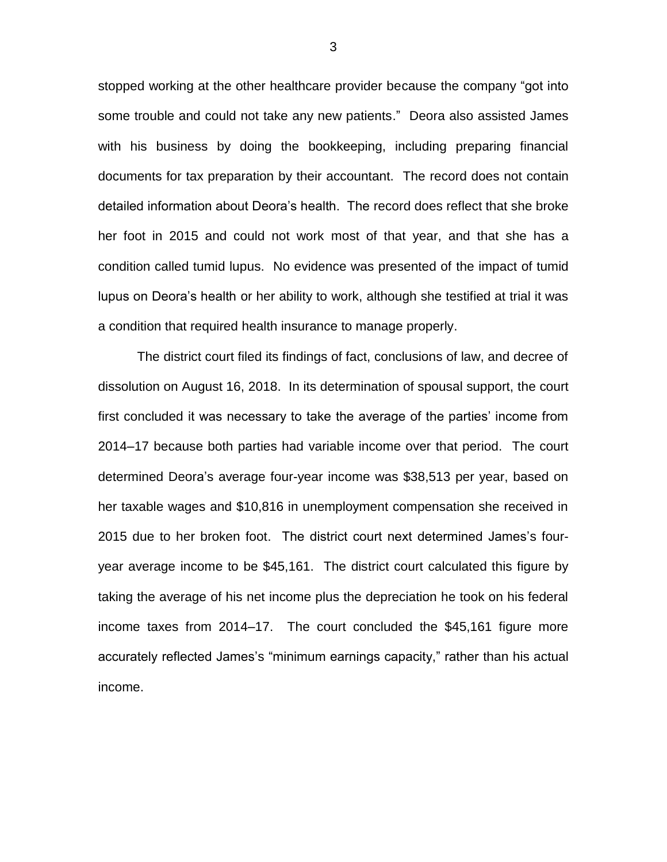stopped working at the other healthcare provider because the company "got into some trouble and could not take any new patients." Deora also assisted James with his business by doing the bookkeeping, including preparing financial documents for tax preparation by their accountant. The record does not contain detailed information about Deora's health. The record does reflect that she broke her foot in 2015 and could not work most of that year, and that she has a condition called tumid lupus. No evidence was presented of the impact of tumid lupus on Deora's health or her ability to work, although she testified at trial it was a condition that required health insurance to manage properly.

The district court filed its findings of fact, conclusions of law, and decree of dissolution on August 16, 2018. In its determination of spousal support, the court first concluded it was necessary to take the average of the parties' income from 2014–17 because both parties had variable income over that period. The court determined Deora's average four-year income was \$38,513 per year, based on her taxable wages and \$10,816 in unemployment compensation she received in 2015 due to her broken foot. The district court next determined James's fouryear average income to be \$45,161. The district court calculated this figure by taking the average of his net income plus the depreciation he took on his federal income taxes from 2014–17. The court concluded the \$45,161 figure more accurately reflected James's "minimum earnings capacity," rather than his actual income.

3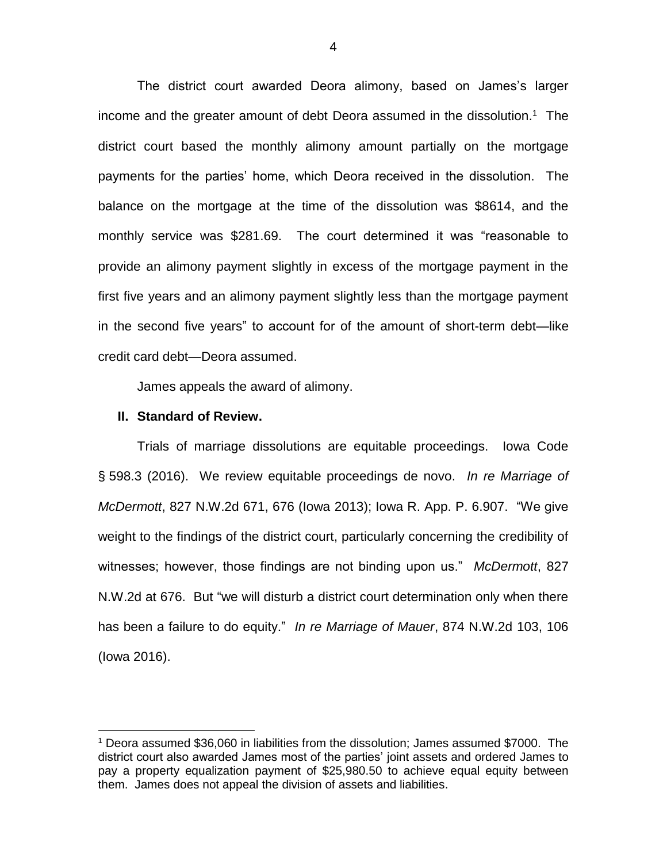The district court awarded Deora alimony, based on James's larger income and the greater amount of debt Deora assumed in the dissolution.<sup>1</sup> The district court based the monthly alimony amount partially on the mortgage payments for the parties' home, which Deora received in the dissolution. The balance on the mortgage at the time of the dissolution was \$8614, and the monthly service was \$281.69. The court determined it was "reasonable to provide an alimony payment slightly in excess of the mortgage payment in the first five years and an alimony payment slightly less than the mortgage payment in the second five years" to account for of the amount of short-term debt—like credit card debt—Deora assumed.

James appeals the award of alimony.

#### **II. Standard of Review.**

 $\overline{a}$ 

Trials of marriage dissolutions are equitable proceedings. Iowa Code § 598.3 (2016). We review equitable proceedings de novo. *In re Marriage of McDermott*, 827 N.W.2d 671, 676 (Iowa 2013); Iowa R. App. P. 6.907. "We give weight to the findings of the district court, particularly concerning the credibility of witnesses; however, those findings are not binding upon us." *McDermott*, 827 N.W.2d at 676. But "we will disturb a district court determination only when there has been a failure to do equity." *In re Marriage of Mauer*, 874 N.W.2d 103, 106 (Iowa 2016).

<sup>1</sup> Deora assumed \$36,060 in liabilities from the dissolution; James assumed \$7000. The district court also awarded James most of the parties' joint assets and ordered James to pay a property equalization payment of \$25,980.50 to achieve equal equity between them. James does not appeal the division of assets and liabilities.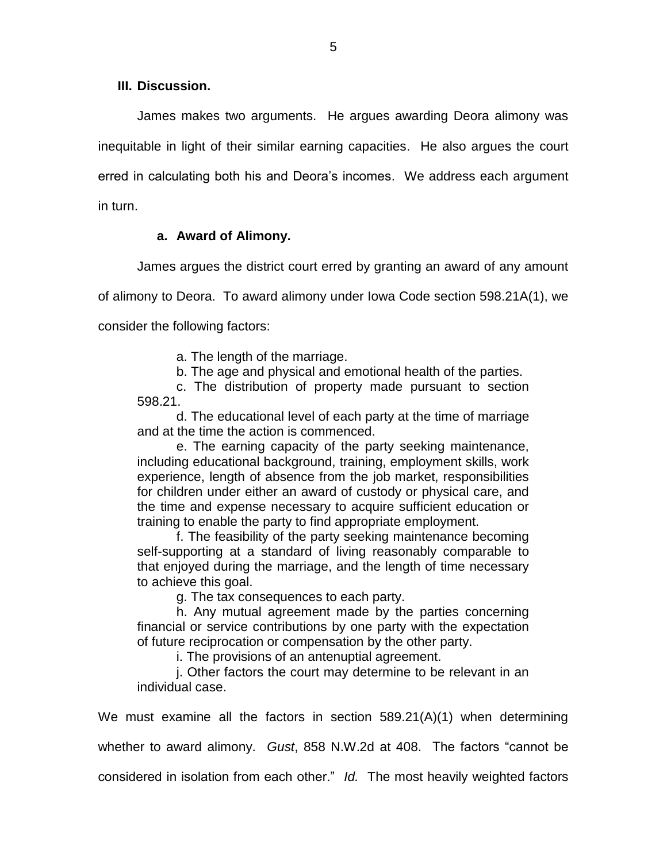**III. Discussion.**

James makes two arguments. He argues awarding Deora alimony was inequitable in light of their similar earning capacities. He also argues the court erred in calculating both his and Deora's incomes. We address each argument in turn.

# **a. Award of Alimony.**

James argues the district court erred by granting an award of any amount

of alimony to Deora. To award alimony under Iowa Code section 598.21A(1), we consider the following factors:

a. The length of the marriage.

b. The age and physical and emotional health of the parties.

c. The distribution of property made pursuant to section 598.21.

d. The educational level of each party at the time of marriage and at the time the action is commenced.

e. The earning capacity of the party seeking maintenance, including educational background, training, employment skills, work experience, length of absence from the job market, responsibilities for children under either an award of custody or physical care, and the time and expense necessary to acquire sufficient education or training to enable the party to find appropriate employment.

f. The feasibility of the party seeking maintenance becoming self-supporting at a standard of living reasonably comparable to that enjoyed during the marriage, and the length of time necessary to achieve this goal.

g. The tax consequences to each party.

h. Any mutual agreement made by the parties concerning financial or service contributions by one party with the expectation of future reciprocation or compensation by the other party.

i. The provisions of an antenuptial agreement.

j. Other factors the court may determine to be relevant in an individual case.

We must examine all the factors in section 589.21(A)(1) when determining whether to award alimony. *Gust*, 858 N.W.2d at 408. The factors "cannot be considered in isolation from each other." *Id.* The most heavily weighted factors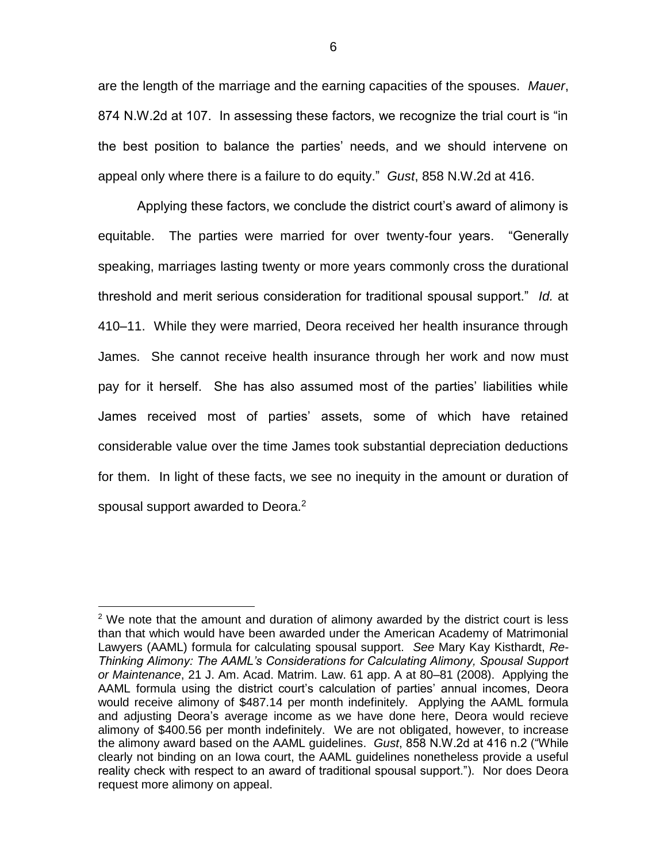are the length of the marriage and the earning capacities of the spouses. *Mauer*, 874 N.W.2d at 107. In assessing these factors, we recognize the trial court is "in the best position to balance the parties' needs, and we should intervene on appeal only where there is a failure to do equity." *Gust*, 858 N.W.2d at 416.

Applying these factors, we conclude the district court's award of alimony is equitable. The parties were married for over twenty-four years. "Generally speaking, marriages lasting twenty or more years commonly cross the durational threshold and merit serious consideration for traditional spousal support." *Id.* at 410–11. While they were married, Deora received her health insurance through James. She cannot receive health insurance through her work and now must pay for it herself. She has also assumed most of the parties' liabilities while James received most of parties' assets, some of which have retained considerable value over the time James took substantial depreciation deductions for them. In light of these facts, we see no inequity in the amount or duration of spousal support awarded to Deora.<sup>2</sup>

 $\overline{a}$ 

 $2$  We note that the amount and duration of alimony awarded by the district court is less than that which would have been awarded under the American Academy of Matrimonial Lawyers (AAML) formula for calculating spousal support. *See* Mary Kay Kisthardt, *Re-Thinking Alimony: The AAML's Considerations for Calculating Alimony, Spousal Support or Maintenance*, 21 J. Am. Acad. Matrim. Law. 61 app. A at 80–81 (2008). Applying the AAML formula using the district court's calculation of parties' annual incomes, Deora would receive alimony of \$487.14 per month indefinitely. Applying the AAML formula and adjusting Deora's average income as we have done here, Deora would recieve alimony of \$400.56 per month indefinitely. We are not obligated, however, to increase the alimony award based on the AAML guidelines. *Gust*, 858 N.W.2d at 416 n.2 ("While clearly not binding on an Iowa court, the AAML guidelines nonetheless provide a useful reality check with respect to an award of traditional spousal support."). Nor does Deora request more alimony on appeal.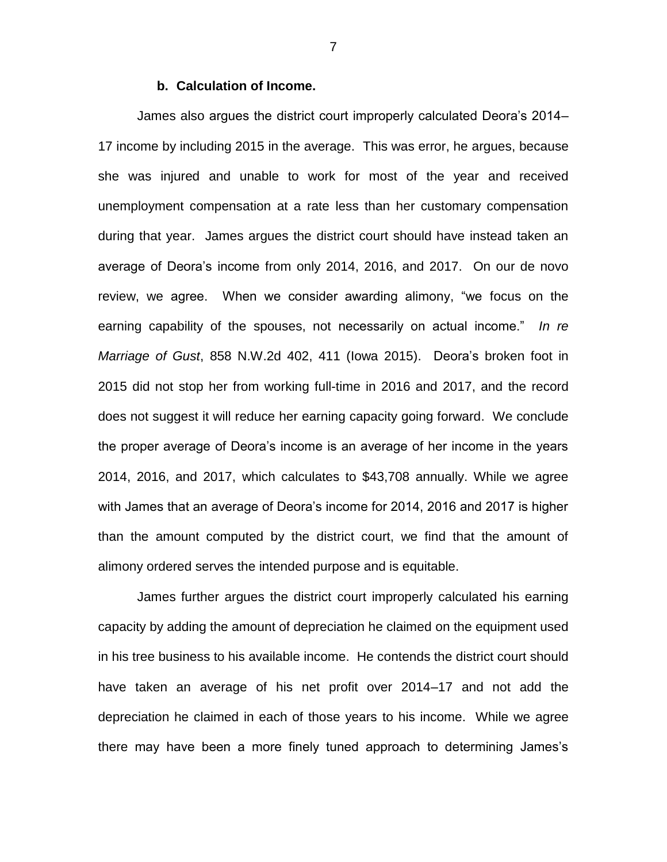## **b. Calculation of Income.**

James also argues the district court improperly calculated Deora's 2014– 17 income by including 2015 in the average. This was error, he argues, because she was injured and unable to work for most of the year and received unemployment compensation at a rate less than her customary compensation during that year. James argues the district court should have instead taken an average of Deora's income from only 2014, 2016, and 2017. On our de novo review, we agree. When we consider awarding alimony, "we focus on the earning capability of the spouses, not necessarily on actual income." *In re Marriage of Gust*, 858 N.W.2d 402, 411 (Iowa 2015). Deora's broken foot in 2015 did not stop her from working full-time in 2016 and 2017, and the record does not suggest it will reduce her earning capacity going forward. We conclude the proper average of Deora's income is an average of her income in the years 2014, 2016, and 2017, which calculates to \$43,708 annually. While we agree with James that an average of Deora's income for 2014, 2016 and 2017 is higher than the amount computed by the district court, we find that the amount of alimony ordered serves the intended purpose and is equitable.

James further argues the district court improperly calculated his earning capacity by adding the amount of depreciation he claimed on the equipment used in his tree business to his available income. He contends the district court should have taken an average of his net profit over 2014–17 and not add the depreciation he claimed in each of those years to his income. While we agree there may have been a more finely tuned approach to determining James's

7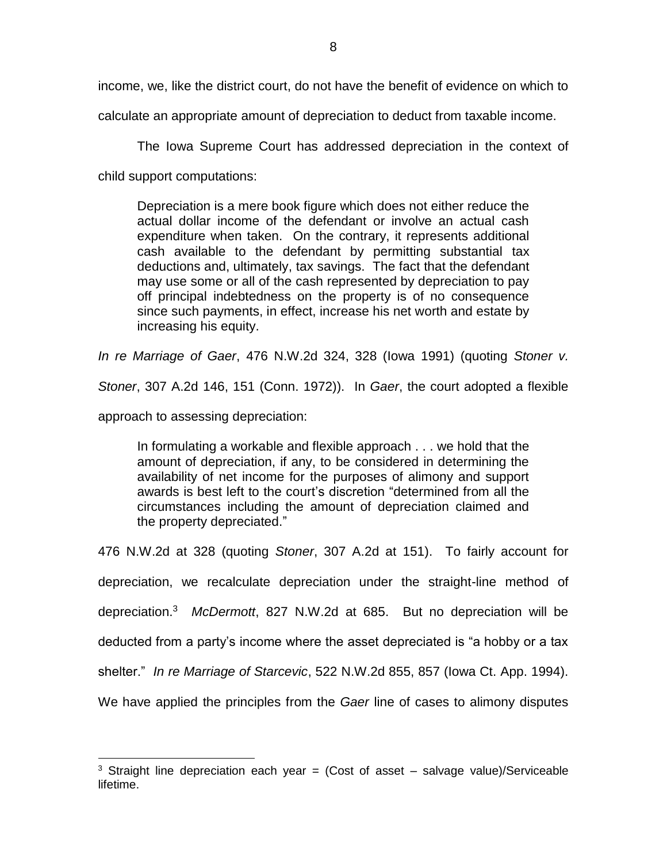income, we, like the district court, do not have the benefit of evidence on which to

calculate an appropriate amount of depreciation to deduct from taxable income.

The Iowa Supreme Court has addressed depreciation in the context of child support computations:

Depreciation is a mere book figure which does not either reduce the actual dollar income of the defendant or involve an actual cash expenditure when taken. On the contrary, it represents additional cash available to the defendant by permitting substantial tax deductions and, ultimately, tax savings. The fact that the defendant may use some or all of the cash represented by depreciation to pay off principal indebtedness on the property is of no consequence since such payments, in effect, increase his net worth and estate by increasing his equity.

*In re Marriage of Gaer*, 476 N.W.2d 324, 328 (Iowa 1991) (quoting *Stoner v.* 

*Stoner*, 307 A.2d 146, 151 (Conn. 1972)). In *Gaer*, the court adopted a flexible

approach to assessing depreciation:

 $\overline{a}$ 

In formulating a workable and flexible approach . . . we hold that the amount of depreciation, if any, to be considered in determining the availability of net income for the purposes of alimony and support awards is best left to the court's discretion "determined from all the circumstances including the amount of depreciation claimed and the property depreciated."

476 N.W.2d at 328 (quoting *Stoner*, 307 A.2d at 151). To fairly account for depreciation, we recalculate depreciation under the straight-line method of depreciation.<sup>3</sup> *McDermott*, 827 N.W.2d at 685. But no depreciation will be deducted from a party's income where the asset depreciated is "a hobby or a tax shelter." *In re Marriage of Starcevic*, 522 N.W.2d 855, 857 (Iowa Ct. App. 1994). We have applied the principles from the *Gaer* line of cases to alimony disputes

<sup>&</sup>lt;sup>3</sup> Straight line depreciation each year = (Cost of asset  $-$  salvage value)/Serviceable lifetime.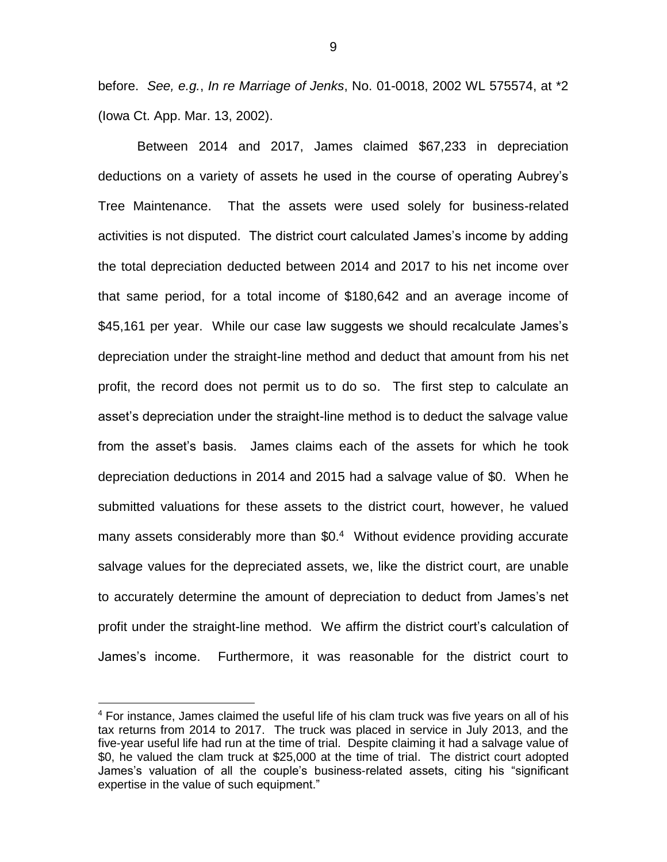before. *See, e.g.*, *In re Marriage of Jenks*, No. 01-0018, 2002 WL 575574, at \*2 (Iowa Ct. App. Mar. 13, 2002).

Between 2014 and 2017, James claimed \$67,233 in depreciation deductions on a variety of assets he used in the course of operating Aubrey's Tree Maintenance. That the assets were used solely for business-related activities is not disputed. The district court calculated James's income by adding the total depreciation deducted between 2014 and 2017 to his net income over that same period, for a total income of \$180,642 and an average income of \$45,161 per year. While our case law suggests we should recalculate James's depreciation under the straight-line method and deduct that amount from his net profit, the record does not permit us to do so. The first step to calculate an asset's depreciation under the straight-line method is to deduct the salvage value from the asset's basis. James claims each of the assets for which he took depreciation deductions in 2014 and 2015 had a salvage value of \$0. When he submitted valuations for these assets to the district court, however, he valued many assets considerably more than \$0.<sup>4</sup> Without evidence providing accurate salvage values for the depreciated assets, we, like the district court, are unable to accurately determine the amount of depreciation to deduct from James's net profit under the straight-line method. We affirm the district court's calculation of James's income. Furthermore, it was reasonable for the district court to

 $\overline{a}$ 

<sup>4</sup> For instance, James claimed the useful life of his clam truck was five years on all of his tax returns from 2014 to 2017. The truck was placed in service in July 2013, and the five-year useful life had run at the time of trial. Despite claiming it had a salvage value of \$0, he valued the clam truck at \$25,000 at the time of trial. The district court adopted James's valuation of all the couple's business-related assets, citing his "significant expertise in the value of such equipment."